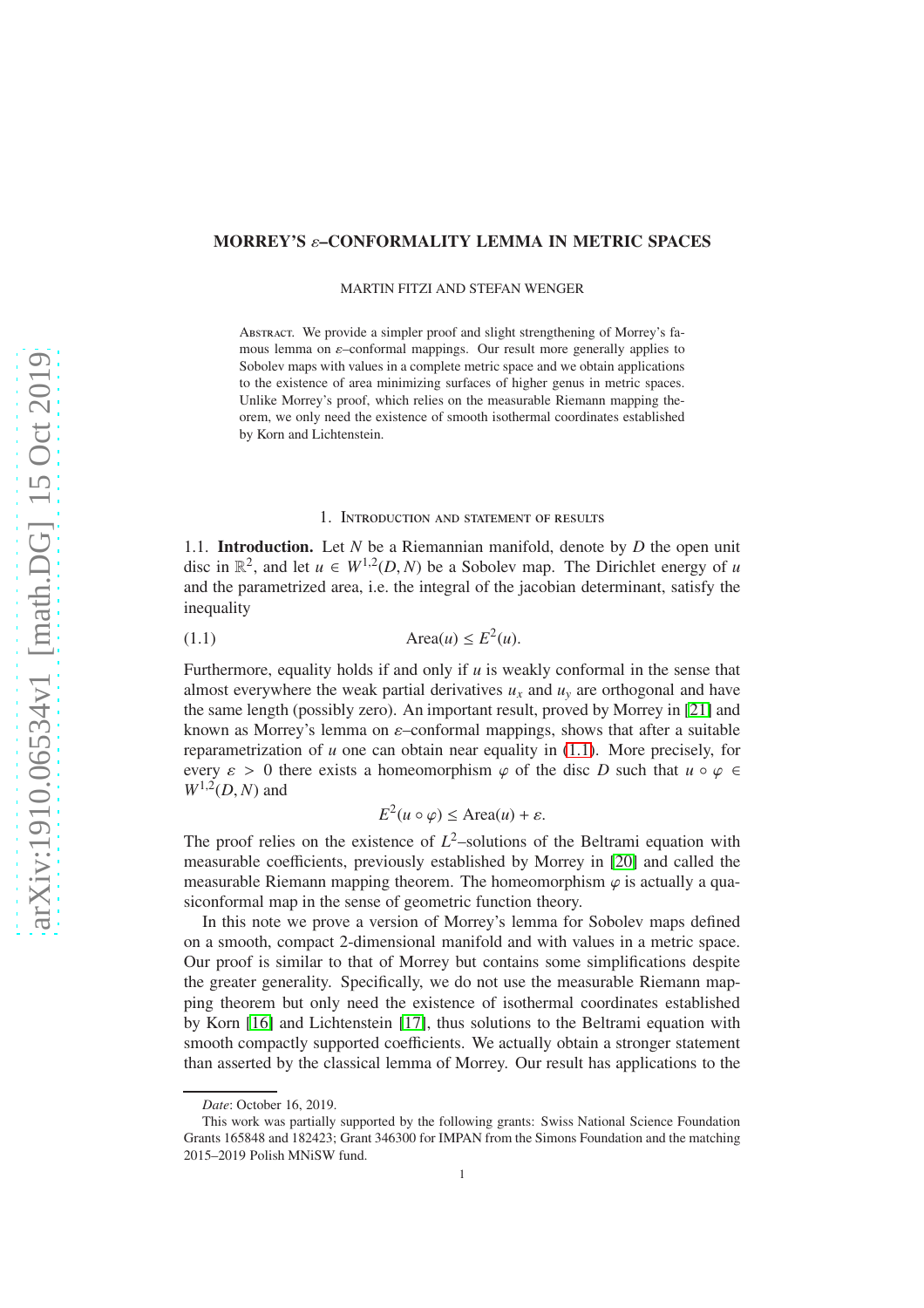## MORREY'S ε–CONFORMALITY LEMMA IN METRIC SPACES

MARTIN FITZI AND STEFAN WENGER

Abstract. We provide a simpler proof and slight strengthening of Morrey's famous lemma on  $\varepsilon$ -conformal mappings. Our result more generally applies to Sobolev maps with values in a complete metric space and we obtain applications to the existence of area minimizing surfaces of higher genus in metric spaces. Unlike Morrey's proof, which relies on the measurable Riemann mapping theorem, we only need the existence of smooth isothermal coordinates established by Korn and Lichtenstein.

### <span id="page-0-0"></span>1. Introduction and statement of results

1.1. Introduction. Let *N* be a Riemannian manifold, denote by *D* the open unit disc in  $\mathbb{R}^2$ , and let  $u \in W^{1,2}(D, N)$  be a Sobolev map. The Dirichlet energy of *u* and the parametrized area, i.e. the integral of the jacobian determinant, satisfy the inequality

$$
(1.1)\qquad \qquad \text{Area}(u) \le E^2(u).
$$

Furthermore, equality holds if and only if *u* is weakly conformal in the sense that almost everywhere the weak partial derivatives  $u<sub>x</sub>$  and  $u<sub>y</sub>$  are orthogonal and have the same length (possibly zero). An important result, proved by Morrey in [\[21\]](#page-13-0) and known as Morrey's lemma on  $\varepsilon$ -conformal mappings, shows that after a suitable reparametrization of  $u$  one can obtain near equality in  $(1.1)$ . More precisely, for every  $\varepsilon > 0$  there exists a homeomorphism  $\varphi$  of the disc *D* such that  $u \circ \varphi \in$  $W^{1,2}(D, N)$  and

$$
E^2(u \circ \varphi) \le \text{Area}(u) + \varepsilon.
$$

The proof relies on the existence of  $L^2$ -solutions of the Beltrami equation with measurable coefficients, previously established by Morrey in [\[20\]](#page-13-1) and called the measurable Riemann mapping theorem. The homeomorphism  $\varphi$  is actually a quasiconformal map in the sense of geometric function theory.

In this note we prove a version of Morrey's lemma for Sobolev maps defined on a smooth, compact 2-dimensional manifold and with values in a metric space. Our proof is similar to that of Morrey but contains some simplifications despite the greater generality. Specifically, we do not use the measurable Riemann mapping theorem but only need the existence of isothermal coordinates established by Korn [\[16\]](#page-13-2) and Lichtenstein [\[17\]](#page-13-3), thus solutions to the Beltrami equation with smooth compactly supported coefficients. We actually obtain a stronger statement than asserted by the classical lemma of Morrey. Our result has applications to the

*Date*: October 16, 2019.

This work was partially supported by the following grants: Swiss National Science Foundation Grants 165848 and 182423; Grant 346300 for IMPAN from the Simons Foundation and the matching 2015–2019 Polish MNiSW fund.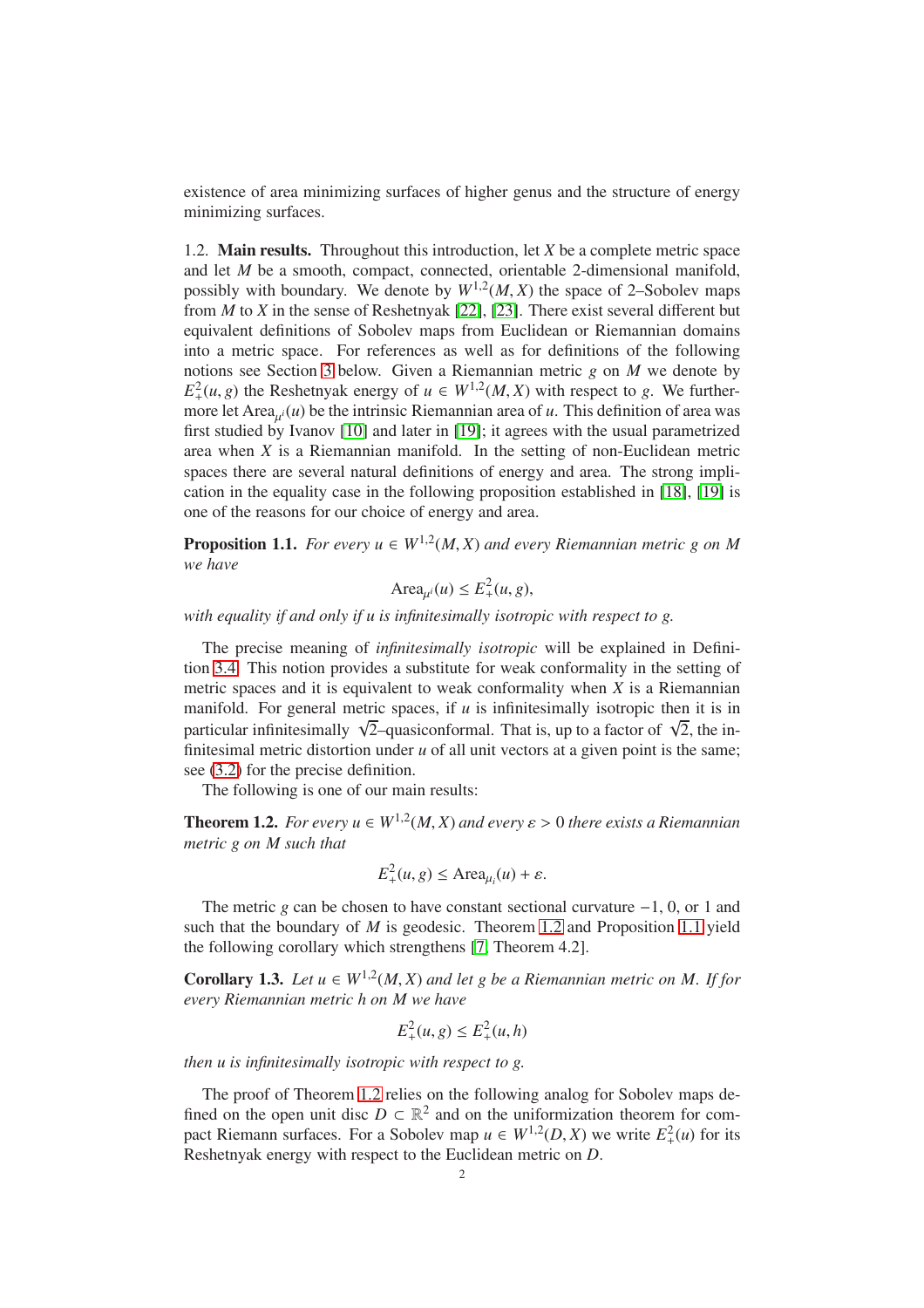existence of area minimizing surfaces of higher genus and the structure of energy minimizing surfaces.

1.2. Main results. Throughout this introduction, let *X* be a complete metric space and let *M* be a smooth, compact, connected, orientable 2-dimensional manifold, possibly with boundary. We denote by  $W^{1,2}(M,X)$  the space of 2–Sobolev maps from *M* to *X* in the sense of Reshetnyak [\[22\]](#page-13-4), [\[23\]](#page-13-5). There exist several different but equivalent definitions of Sobolev maps from Euclidean or Riemannian domains into a metric space. For references as well as for definitions of the following notions see Section [3](#page-5-0) below. Given a Riemannian metric *g* on *M* we denote by  $E_+^2(u, g)$  the Reshetnyak energy of  $u \in W^{1,2}(M, X)$  with respect to *g*. We furthermore let Area $_{\mu i}(u)$  be the intrinsic Riemannian area of  $u$ . This definition of area was first studied by Ivanov [\[10\]](#page-12-0) and later in [\[19\]](#page-13-6); it agrees with the usual parametrized area when *X* is a Riemannian manifold. In the setting of non-Euclidean metric spaces there are several natural definitions of energy and area. The strong implication in the equality case in the following proposition established in [\[18\]](#page-13-7), [\[19\]](#page-13-6) is one of the reasons for our choice of energy and area.

<span id="page-1-1"></span>**Proposition 1.1.** *For every*  $u \in W^{1,2}(M,X)$  *and every Riemannian metric g on M we have*

$$
\text{Area}_{\mu^i}(u) \le E_+^2(u, g),
$$

*with equality if and only if u is infinitesimally isotropic with respect to g.*

The precise meaning of *infinitesimally isotropic* will be explained in Definition [3.4.](#page-6-0) This notion provides a substitute for weak conformality in the setting of metric spaces and it is equivalent to weak conformality when *X* is a Riemannian manifold. For general metric spaces, if *u* is infinitesimally isotropic then it is in particular infinitesimally  $\sqrt{2}$ -quasiconformal. That is, up to a factor of  $\sqrt{2}$ , the infinitesimal metric distortion under *u* of all unit vectors at a given point is the same; see [\(3.2\)](#page-7-0) for the precise definition.

The following is one of our main results:

<span id="page-1-0"></span>**Theorem 1.2.** *For every*  $u \in W^{1,2}(M,X)$  *and every*  $\varepsilon > 0$  *there exists a Riemannian metric g on M such that*

$$
E_+^2(u, g) \le \text{Area}_{\mu_i}(u) + \varepsilon.
$$

The metric *g* can be chosen to have constant sectional curvature −1, 0, or 1 and such that the boundary of *M* is geodesic. Theorem [1.2](#page-1-0) and Proposition [1.1](#page-1-1) yield the following corollary which strengthens [\[7,](#page-12-1) Theorem 4.2].

<span id="page-1-2"></span>**Corollary 1.3.** Let  $u \in W^{1,2}(M,X)$  and let g be a Riemannian metric on M. If for *every Riemannian metric h on M we have*

$$
E_{+}^{2}(u, g) \leq E_{+}^{2}(u, h)
$$

*then u is infinitesimally isotropic with respect to g.*

The proof of Theorem [1.2](#page-1-0) relies on the following analog for Sobolev maps defined on the open unit disc  $D \subset \mathbb{R}^2$  and on the uniformization theorem for compact Riemann surfaces. For a Sobolev map  $u \in W^{1,2}(D, X)$  we write  $E^2_+(u)$  for its Reshetnyak energy with respect to the Euclidean metric on *D*.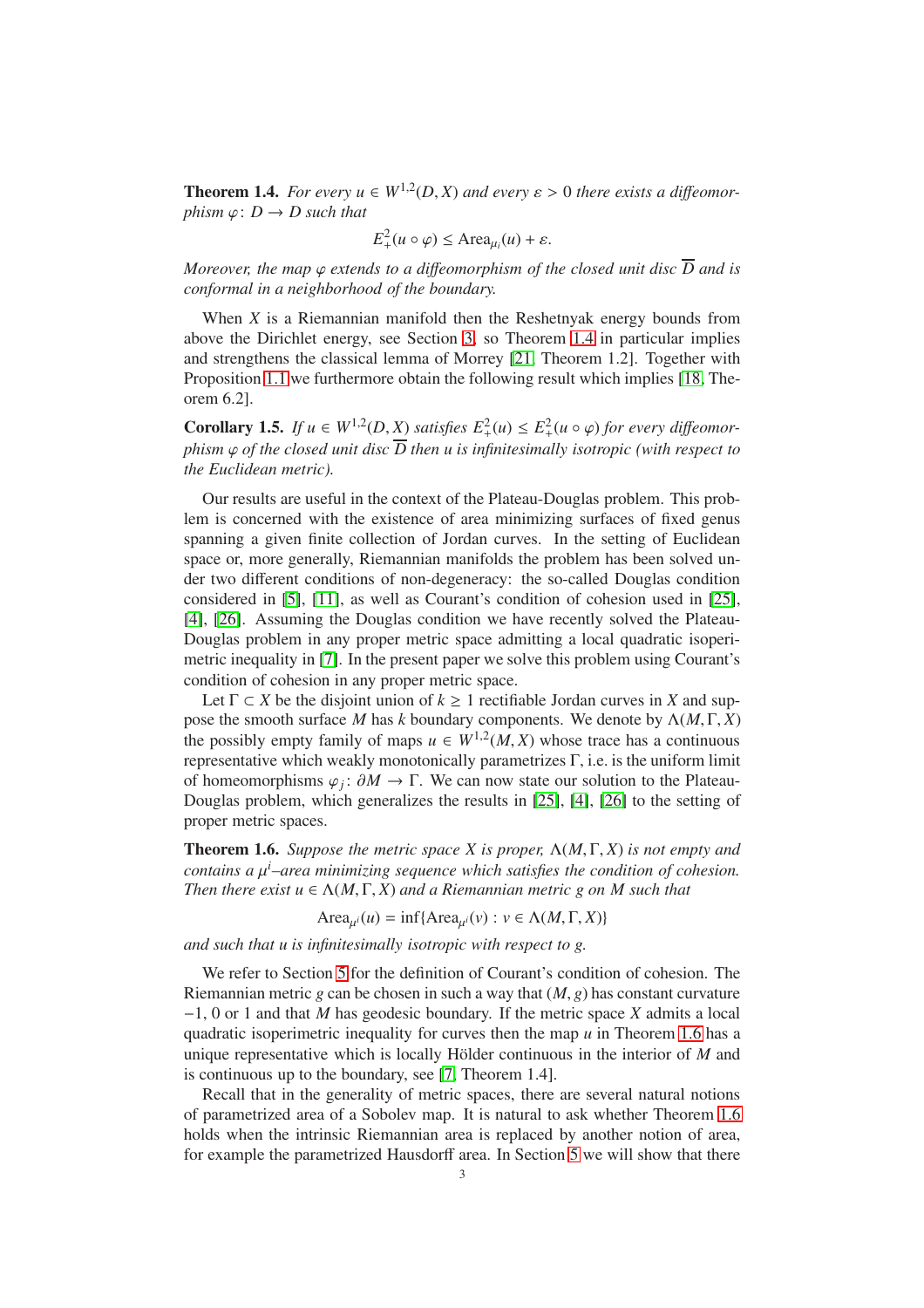<span id="page-2-0"></span>**Theorem 1.4.** *For every*  $u \in W^{1,2}(D,X)$  *and every*  $\varepsilon > 0$  *there exists a diffeomorphism*  $\varphi$ :  $D \rightarrow D$  *such that* 

$$
E_+^2(u \circ \varphi) \le \text{Area}_{\mu_i}(u) + \varepsilon.
$$

*Moreover, the map*  $\varphi$  *extends to a diffeomorphism of the closed unit disc*  $\overline{D}$  *and is conformal in a neighborhood of the boundary.*

When *X* is a Riemannian manifold then the Reshetnyak energy bounds from above the Dirichlet energy, see Section [3,](#page-5-0) so Theorem [1.4](#page-2-0) in particular implies and strengthens the classical lemma of Morrey [\[21,](#page-13-0) Theorem 1.2]. Together with Proposition [1.1](#page-1-1) we furthermore obtain the following result which implies [\[18,](#page-13-7) Theorem 6.2].

**Corollary 1.5.** *If*  $u \in W^{1,2}(D, \underline{X})$  *satisfies*  $E^2_+(u) \leq E^2_+(u \circ \varphi)$  *for every diffeomorphism*  $\varphi$  *of the closed unit disc*  $\overline{D}$  *then u is infinitesimally isotropic (with respect to the Euclidean metric).*

Our results are useful in the context of the Plateau-Douglas problem. This problem is concerned with the existence of area minimizing surfaces of fixed genus spanning a given finite collection of Jordan curves. In the setting of Euclidean space or, more generally, Riemannian manifolds the problem has been solved under two different conditions of non-degeneracy: the so-called Douglas condition considered in [\[5\]](#page-12-2), [\[11\]](#page-13-8), as well as Courant's condition of cohesion used in [\[25\]](#page-13-9), [\[4\]](#page-12-3), [\[26\]](#page-13-10). Assuming the Douglas condition we have recently solved the Plateau-Douglas problem in any proper metric space admitting a local quadratic isoperimetric inequality in [\[7\]](#page-12-1). In the present paper we solve this problem using Courant's condition of cohesion in any proper metric space.

Let  $\Gamma \subset X$  be the disjoint union of  $k \geq 1$  rectifiable Jordan curves in X and suppose the smooth surface *M* has *k* boundary components. We denote by  $\Lambda(M, \Gamma, X)$ the possibly empty family of maps  $u \in W^{1,2}(M,X)$  whose trace has a continuous representative which weakly monotonically parametrizes  $\Gamma$ , i.e. is the uniform limit of homeomorphisms  $\varphi_j$ :  $\partial M \to \Gamma$ . We can now state our solution to the Plateau-Douglas problem, which generalizes the results in [\[25\]](#page-13-9), [\[4\]](#page-12-3), [\[26\]](#page-13-10) to the setting of proper metric spaces.

<span id="page-2-1"></span>Theorem 1.6. *Suppose the metric space X is proper,* Λ(*M*, Γ, *X*) *is not empty and contains a* µ *<sup>i</sup>–area minimizing sequence which satisfies the condition of cohesion. Then there exist*  $u \in \Lambda(M, \Gamma, X)$  *and a Riemannian metric g on M such that* 

Area<sub> $\mu$ </sub><sup>*i*</sup>(*u*) = inf{Area<sub> $\mu$ </sub><sup>*i*</sup>(*v*) : *v*  $\in \Lambda(M, \Gamma, X)$ }

*and such that u is infinitesimally isotropic with respect to g.*

We refer to Section [5](#page-10-0) for the definition of Courant's condition of cohesion. The Riemannian metric  $g$  can be chosen in such a way that  $(M, g)$  has constant curvature −1, 0 or 1 and that *M* has geodesic boundary. If the metric space *X* admits a local quadratic isoperimetric inequality for curves then the map *u* in Theorem [1.6](#page-2-1) has a unique representative which is locally Hölder continuous in the interior of  $M$  and is continuous up to the boundary, see [\[7,](#page-12-1) Theorem 1.4].

Recall that in the generality of metric spaces, there are several natural notions of parametrized area of a Sobolev map. It is natural to ask whether Theorem [1.6](#page-2-1) holds when the intrinsic Riemannian area is replaced by another notion of area, for example the parametrized Hausdorff area. In Section [5](#page-10-0) we will show that there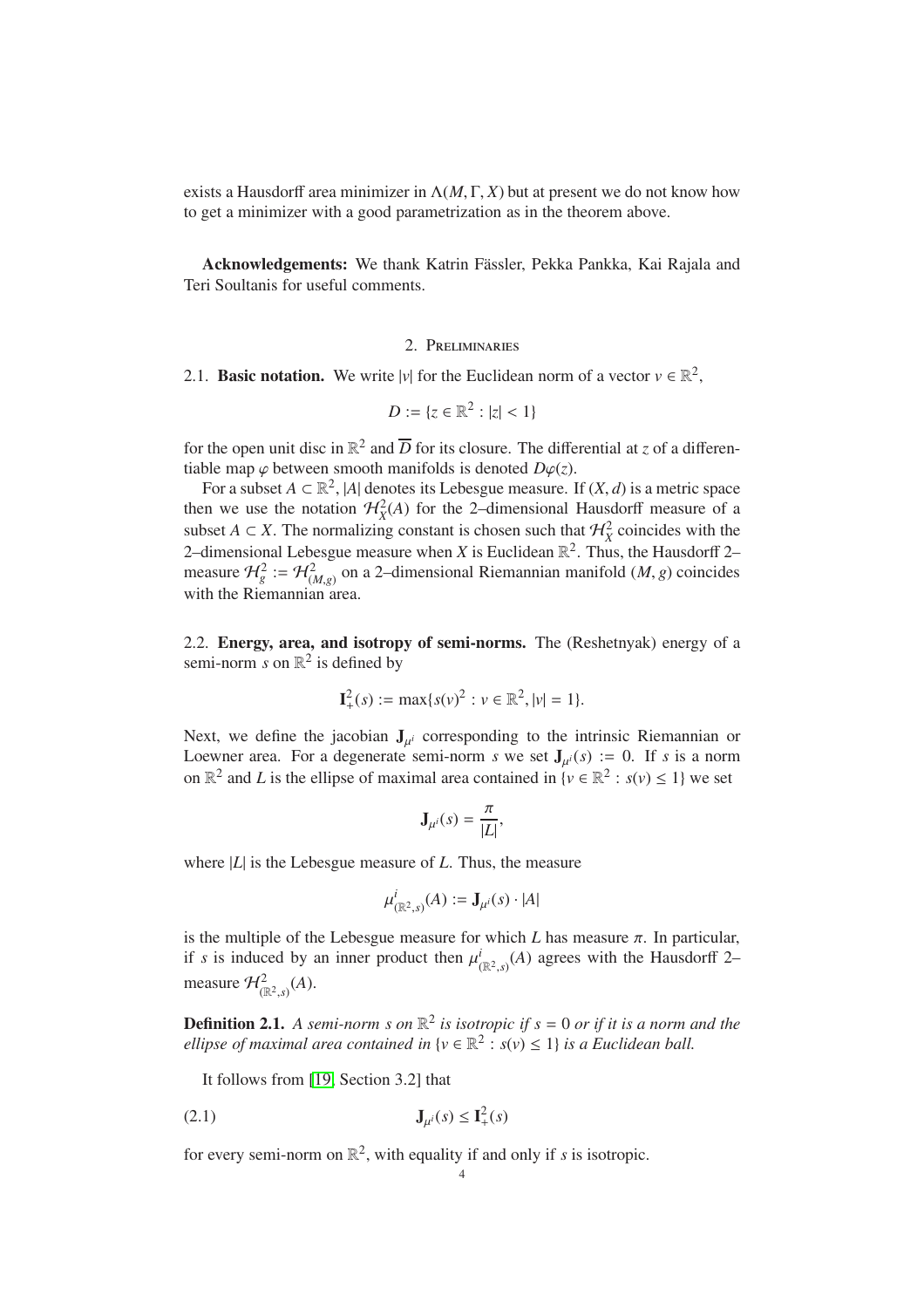exists a Hausdorff area minimizer in  $\Lambda(M, \Gamma, X)$  but at present we do not know how to get a minimizer with a good parametrization as in the theorem above.

Acknowledgements: We thank Katrin Fässler, Pekka Pankka, Kai Rajala and Teri Soultanis for useful comments.

## 2. Preliminaries

2.1. **Basic notation.** We write  $|v|$  for the Euclidean norm of a vector  $v \in \mathbb{R}^2$ ,

$$
D := \{ z \in \mathbb{R}^2 : |z| < 1 \}
$$

for the open unit disc in  $\mathbb{R}^2$  and  $\overline{D}$  for its closure. The differential at *z* of a differentiable map  $\varphi$  between smooth manifolds is denoted  $D\varphi(z)$ .

For a subset  $A \subset \mathbb{R}^2$ , |*A*| denotes its Lebesgue measure. If  $(X, d)$  is a metric space then we use the notation  $\mathcal{H}_X^2(A)$  for the 2–dimensional Hausdorff measure of a subset *A* ⊂ *X*. The normalizing constant is chosen such that  $\mathcal{H}^2$  coincides with the 2–dimensional Lebesgue measure when *X* is Euclidean  $\mathbb{R}^2$ . Thus, the Hausdorff 2– measure  $\mathcal{H}_{g}^{2} := \mathcal{H}_{(M,g)}^{2}$  on a 2-dimensional Riemannian manifold  $(M, g)$  coincides with the Riemannian area.

<span id="page-3-0"></span>2.2. Energy, area, and isotropy of semi-norms. The (Reshetnyak) energy of a semi-norm *s* on  $\mathbb{R}^2$  is defined by

$$
\mathbf{I}_{+}^{2}(s) := \max\{s(v)^{2} : v \in \mathbb{R}^{2}, |v| = 1\}.
$$

Next, we define the jacobian  $J_{\mu^{i}}$  corresponding to the intrinsic Riemannian or Loewner area. For a degenerate semi-norm *s* we set  $J_{\mu^{i}}(s) := 0$ . If *s* is a norm on  $\mathbb{R}^2$  and *L* is the ellipse of maximal area contained in  $\{v \in \mathbb{R}^2 : s(v) \le 1\}$  we set

$$
\mathbf{J}_{\mu^{i}}(s) = \frac{\pi}{|L|},
$$

where |*L*| is the Lebesgue measure of *L*. Thus, the measure

$$
\mu^i_{(\mathbb{R}^2,s)}(A) := \mathbf{J}_{\mu^i}(s) \cdot |A|
$$

is the multiple of the Lebesgue measure for which *L* has measure  $\pi$ . In particular, if *s* is induced by an inner product then  $\mu_{(\mathbb{R}^2,s)}^i(A)$  agrees with the Hausdorff 2– measure  $\mathcal{H}^2_{(\mathbb{R}^2,s)}(A)$ .

<span id="page-3-2"></span>**Definition 2.1.** A semi-norm s on  $\mathbb{R}^2$  is isotropic if  $s = 0$  or if it is a norm and the *ellipse of maximal area contained in*  $\{v \in \mathbb{R}^2 : s(v) \leq 1\}$  *is a Euclidean ball.* 

<span id="page-3-1"></span>It follows from [\[19,](#page-13-6) Section 3.2] that

$$
\mathbf{J}_{\mu^{i}}(s) \le \mathbf{I}_{+}^{2}(s)
$$

for every semi-norm on  $\mathbb{R}^2$ , with equality if and only if *s* is isotropic.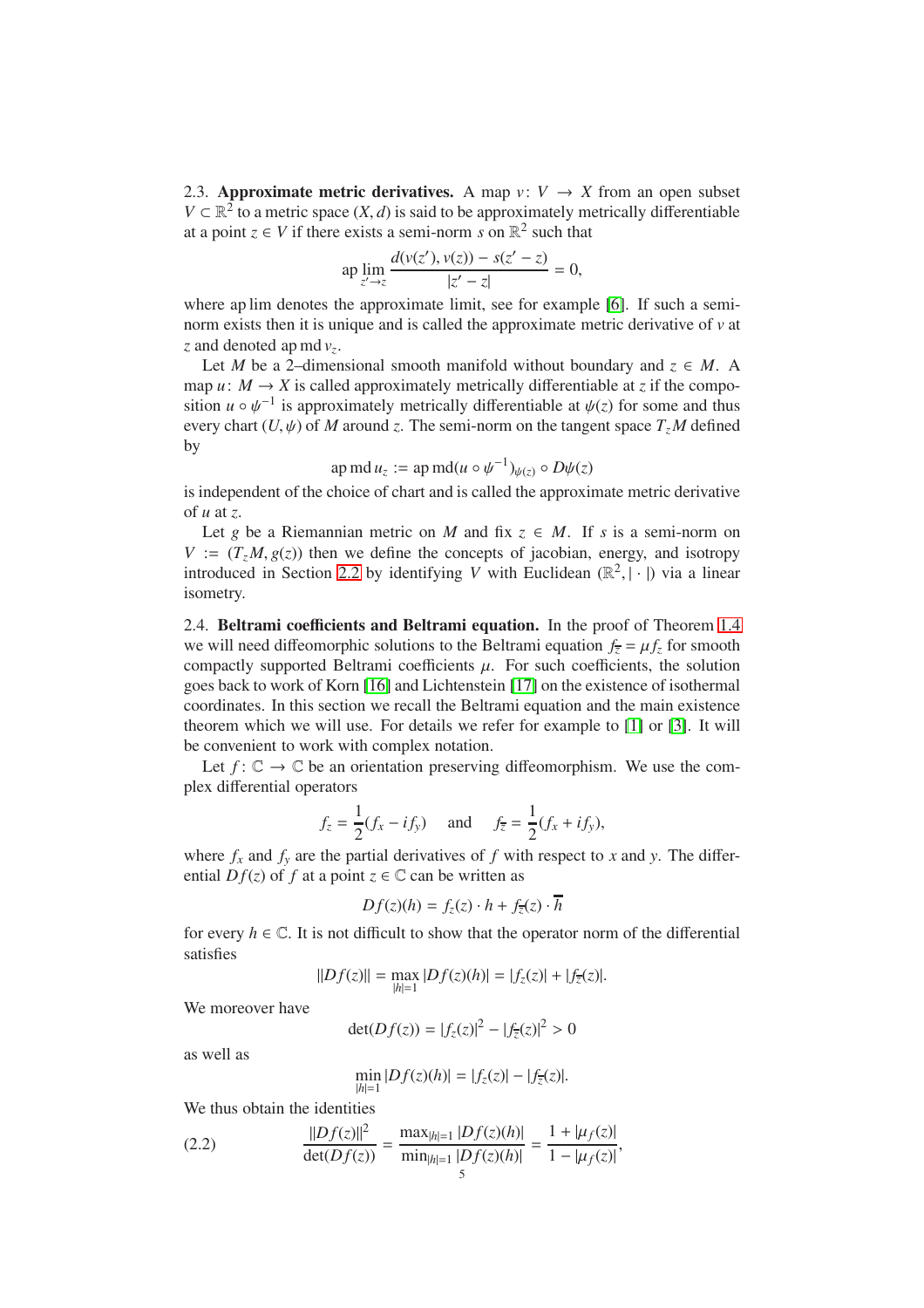<span id="page-4-1"></span>2.3. Approximate metric derivatives. A map  $v: V \rightarrow X$  from an open subset *V* ⊂  $\mathbb{R}^2$  to a metric space  $(X, d)$  is said to be approximately metrically differentiable at a point  $z \in V$  if there exists a semi-norm *s* on  $\mathbb{R}^2$  such that

$$
\text{ap}\lim_{z'\to z}\frac{d(v(z'),v(z))-s(z'-z)}{|z'-z|}=0,
$$

where ap lim denotes the approximate limit, see for example [\[6\]](#page-12-4). If such a seminorm exists then it is unique and is called the approximate metric derivative of *v* at *z* and denoted ap md *v<sup>z</sup>* .

Let *M* be a 2–dimensional smooth manifold without boundary and  $z \in M$ . A map  $u: M \to X$  is called approximately metrically differentiable at *z* if the composition  $u \circ \psi^{-1}$  is approximately metrically differentiable at  $\psi(z)$  for some and thus every chart  $(U, \psi)$  of *M* around *z*. The semi-norm on the tangent space  $T_zM$  defined by

ap md 
$$
u_z :=
$$
 ap md $(u \circ \psi^{-1})_{\psi(z)} \circ D\psi(z)$ 

is independent of the choice of chart and is called the approximate metric derivative of *u* at *z*.

Let *g* be a Riemannian metric on *M* and fix  $z \in M$ . If *s* is a semi-norm on  $V := (T_z M, g(z))$  then we define the concepts of jacobian, energy, and isotropy introduced in Section [2.2](#page-3-0) by identifying *V* with Euclidean  $(\mathbb{R}^2, |\cdot|)$  via a linear isometry.

<span id="page-4-2"></span>2.4. Beltrami coefficients and Beltrami equation. In the proof of Theorem [1.4](#page-2-0) we will need diffeomorphic solutions to the Beltrami equation  $f_{\overline{z}} = \mu f_z$  for smooth compactly supported Beltrami coefficients  $\mu$ . For such coefficients, the solution goes back to work of Korn [\[16\]](#page-13-2) and Lichtenstein [\[17\]](#page-13-3) on the existence of isothermal coordinates. In this section we recall the Beltrami equation and the main existence theorem which we will use. For details we refer for example to [\[1\]](#page-12-5) or [\[3\]](#page-12-6). It will be convenient to work with complex notation.

Let  $f: \mathbb{C} \to \mathbb{C}$  be an orientation preserving diffeomorphism. We use the complex differential operators

$$
f_z = \frac{1}{2}(f_x - if_y)
$$
 and  $f_{\overline{z}} = \frac{1}{2}(f_x + if_y),$ 

where  $f_x$  and  $f_y$  are the partial derivatives of  $f$  with respect to  $x$  and  $y$ . The differential  $Df(z)$  of f at a point  $z \in \mathbb{C}$  can be written as

$$
Df(z)(h) = f_z(z) \cdot h + f_{\overline{z}}(z) \cdot \overline{h}
$$

for every  $h \in \mathbb{C}$ . It is not difficult to show that the operator norm of the differential satisfies

$$
||Df(z)|| = \max_{|h|=1} |Df(z)(h)| = |f_z(z)| + |f_{\overline{z}}(z)|.
$$

We moreover have

$$
\det(Df(z)) = |f_z(z)|^2 - |f_{\overline{z}}(z)|^2 > 0
$$

as well as

<span id="page-4-0"></span>
$$
\min_{|h|=1} |Df(z)(h)| = |f_{z}(z)| - |f_{\overline{z}}(z)|.
$$

We thus obtain the identities

(2.2) 
$$
\frac{||Df(z)||^2}{\det(Df(z))} = \frac{\max_{|h|=1} |Df(z)(h)|}{\min_{|h|=1} |Df(z)(h)|} = \frac{1 + |\mu_f(z)|}{1 - |\mu_f(z)|},
$$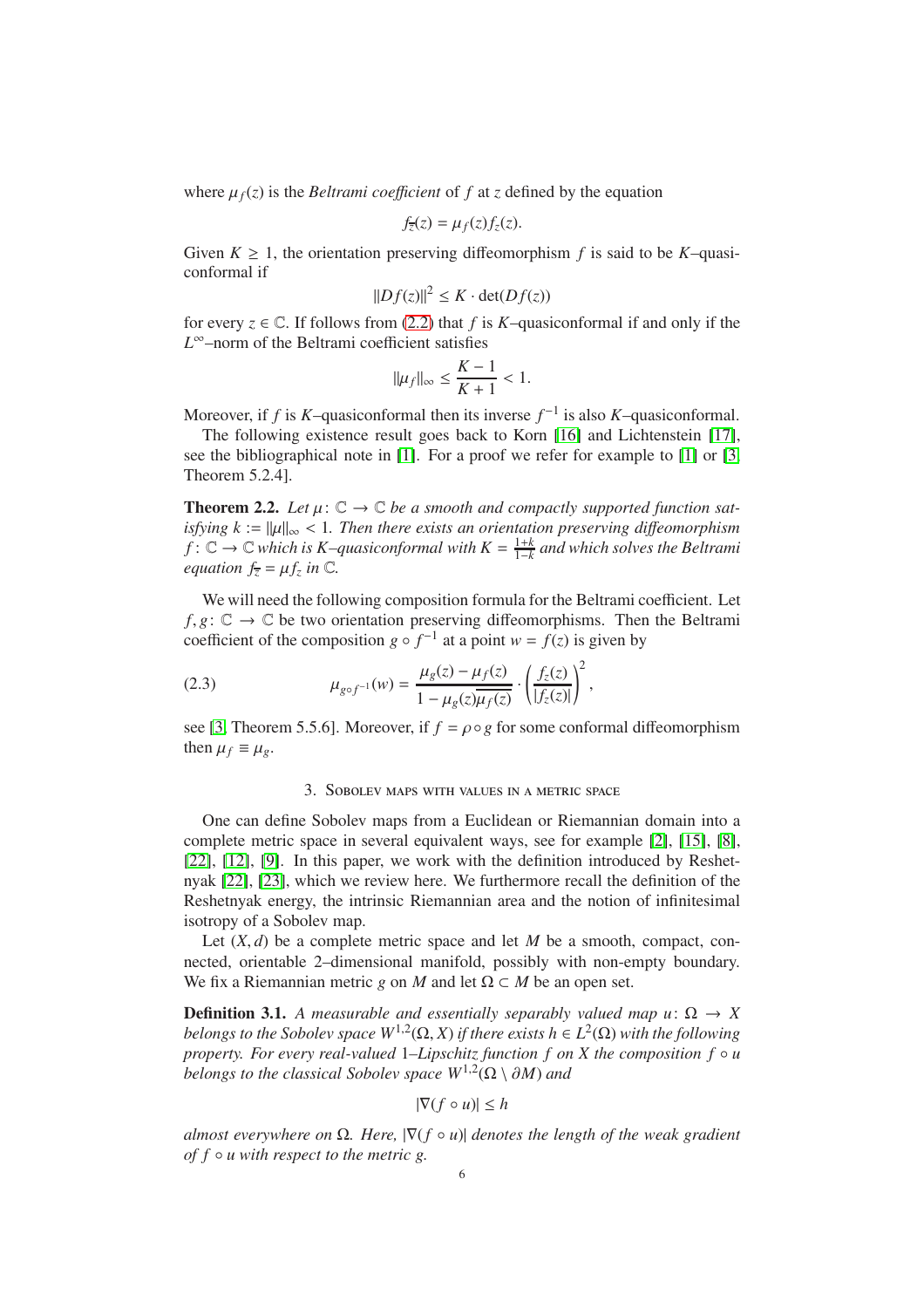where  $\mu_f(z)$  is the *Beltrami coefficient* of f at *z* defined by the equation

$$
f_{\overline{z}}(z) = \mu_f(z) f_z(z).
$$

Given  $K \geq 1$ , the orientation preserving diffeomorphism f is said to be K–quasiconformal if

$$
||Df(z)||^2 \leq K \cdot \det(Df(z))
$$

for every  $z \in \mathbb{C}$ . If follows from [\(2.2\)](#page-4-0) that *f* is *K*–quasiconformal if and only if the *L* <sup>∞</sup>–norm of the Beltrami coefficient satisfies

$$
\|\mu_f\|_\infty\leq \frac{K-1}{K+1}<1.
$$

Moreover, if *f* is *K*-quasiconformal then its inverse  $f^{-1}$  is also *K*-quasiconformal.

The following existence result goes back to Korn [\[16\]](#page-13-2) and Lichtenstein [\[17\]](#page-13-3), see the bibliographical note in [\[1\]](#page-12-5). For a proof we refer for example to [\[1\]](#page-12-5) or [\[3,](#page-12-6) Theorem 5.2.4].

<span id="page-5-1"></span>**Theorem 2.2.** Let  $\mu: \mathbb{C} \to \mathbb{C}$  be a smooth and compactly supported function sat*isfying*  $k := ||\mu||_{\infty} < 1$ . Then there exists an orientation preserving diffeomorphism  $f: \mathbb{C} \to \mathbb{C}$  which is *K*-quasiconformal with  $K = \frac{1+k}{1-k}$ 1−*k and which solves the Beltrami equation*  $f_{\overline{z}} = \mu f_z$  *in*  $\mathbb{C}$ *.* 

We will need the following composition formula for the Beltrami coefficient. Let  $f, g: \mathbb{C} \to \mathbb{C}$  be two orientation preserving diffeomorphisms. Then the Beltrami coefficient of the composition  $g \circ f^{-1}$  at a point  $w = f(z)$  is given by

(2.3) 
$$
\mu_{g \circ f^{-1}}(w) = \frac{\mu_g(z) - \mu_f(z)}{1 - \mu_g(z)\overline{\mu_f(z)}} \cdot \left(\frac{f_z(z)}{|f_z(z)|}\right)^2,
$$

<span id="page-5-0"></span>see [\[3,](#page-12-6) Theorem 5.5.6]. Moreover, if  $f = \rho \circ g$  for some conformal diffeomorphism then  $\mu_f \equiv \mu_g$ .

# <span id="page-5-2"></span>3. Sobolev maps with values in a metric space

One can define Sobolev maps from a Euclidean or Riemannian domain into a complete metric space in several equivalent ways, see for example [\[2\]](#page-12-7), [\[15\]](#page-13-11), [\[8\]](#page-12-8), [\[22\]](#page-13-4), [\[12\]](#page-13-12), [\[9\]](#page-12-9). In this paper, we work with the definition introduced by Reshetnyak [\[22\]](#page-13-4), [\[23\]](#page-13-5), which we review here. We furthermore recall the definition of the Reshetnyak energy, the intrinsic Riemannian area and the notion of infinitesimal isotropy of a Sobolev map.

Let  $(X, d)$  be a complete metric space and let *M* be a smooth, compact, connected, orientable 2–dimensional manifold, possibly with non-empty boundary. We fix a Riemannian metric *g* on *M* and let  $\Omega \subset M$  be an open set.

**Definition 3.1.** *A measurable and essentially separably valued map u*:  $\Omega \rightarrow X$ *belongs to the Sobolev space*  $W^{1,2}(\Omega,X)$  *if there exists*  $h \in L^2(\Omega)$  *with the following property. For every real-valued* 1–*Lipschitz function f on X the composition f* ◦ *u belongs to the classical Sobolev space*  $W^{1,2}(\Omega \setminus \partial M)$  *and* 

$$
|\nabla (f \circ u)| \le h
$$

*almost everywhere on* <sup>Ω</sup>*. Here,* |∇(*<sup>f</sup>* ◦ *<sup>u</sup>*)<sup>|</sup> *denotes the length of the weak gradient of f* ◦ *u with respect to the metric g.*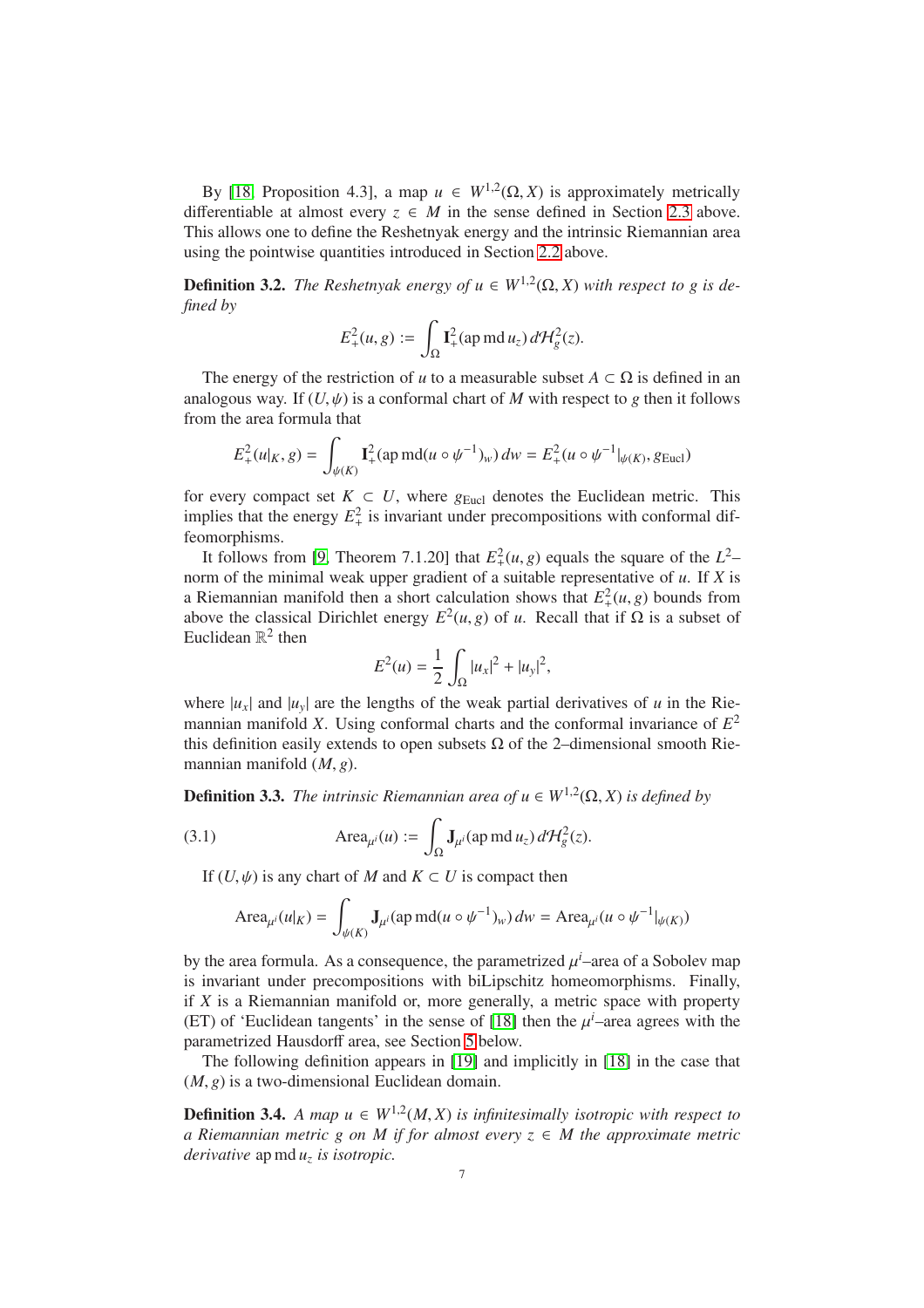By [\[18,](#page-13-7) Proposition 4.3], a map  $u \in W^{1,2}(\Omega, X)$  is approximately metrically differentiable at almost every  $z \in M$  in the sense defined in Section [2.3](#page-4-1) above. This allows one to define the Reshetnyak energy and the intrinsic Riemannian area using the pointwise quantities introduced in Section [2.2](#page-3-0) above.

**Definition 3.2.** *The Reshetnyak energy of*  $u \in W^{1,2}(\Omega, X)$  *with respect to g is defined by*

$$
E_+^2(u,g) := \int_{\Omega} \mathbf{I}_+^2(\text{ap } \text{md } u_z) d\mathcal{H}_g^2(z).
$$

The energy of the restriction of *u* to a measurable subset  $A \subset \Omega$  is defined in an analogous way. If  $(U, \psi)$  is a conformal chart of *M* with respect to *g* then it follows from the area formula that

$$
E_{+}^{2}(u|_{K}, g) = \int_{\psi(K)} \mathbf{I}_{+}^{2}(\text{ap } \text{md}(u \circ \psi^{-1})_{w}) \, dw = E_{+}^{2}(u \circ \psi^{-1}|_{\psi(K)}, g_{\text{Eucl}})
$$

for every compact set  $K \subset U$ , where  $g_{Eucl}$  denotes the Euclidean metric. This implies that the energy  $E_+^2$  is invariant under precompositions with conformal diffeomorphisms.

It follows from [\[9,](#page-12-9) Theorem 7.1.20] that  $E_+^2(u, g)$  equals the square of the  $L^2$ – norm of the minimal weak upper gradient of a suitable representative of *u*. If *X* is a Riemannian manifold then a short calculation shows that  $E^2_+(u, g)$  bounds from above the classical Dirichlet energy  $E^2(u, g)$  of *u*. Recall that if  $\Omega$  is a subset of Euclidean  $\mathbb{R}^2$  then

$$
E^{2}(u) = \frac{1}{2} \int_{\Omega} |u_{x}|^{2} + |u_{y}|^{2},
$$

where  $|u_x|$  and  $|u_y|$  are the lengths of the weak partial derivatives of *u* in the Riemannian manifold *X*. Using conformal charts and the conformal invariance of *E* 2 this definition easily extends to open subsets  $\Omega$  of the 2–dimensional smooth Riemannian manifold (*M*, *g*).

**Definition 3.3.** *The intrinsic Riemannian area of*  $u \in W^{1,2}(\Omega, X)$  *is defined by* 

(3.1) 
$$
\text{Area}_{\mu^i}(u) := \int_{\Omega} \mathbf{J}_{\mu^i}(\text{ap } \text{md } u_z) d\mathcal{H}_g^2(z).
$$

If  $(U, \psi)$  is any chart of *M* and  $K \subset U$  is compact then

$$
\operatorname{Area}_{\mu^i}(u|_K) = \int_{\psi(K)} \mathbf{J}_{\mu^i}(\operatorname{ap} m \mathrm{d}(u \circ \psi^{-1})_w) \, dw = \operatorname{Area}_{\mu^i}(u \circ \psi^{-1}|_{\psi(K)})
$$

by the area formula. As a consequence, the parametrized  $\mu^{i}$ –area of a Sobolev map is invariant under precompositions with biLipschitz homeomorphisms. Finally, if *X* is a Riemannian manifold or, more generally, a metric space with property (ET) of 'Euclidean tangents' in the sense of [\[18\]](#page-13-7) then the  $\mu^{i}$ -area agrees with the parametrized Hausdorff area, see Section [5](#page-10-0) below.

The following definition appears in [\[19\]](#page-13-6) and implicitly in [\[18\]](#page-13-7) in the case that  $(M, g)$  is a two-dimensional Euclidean domain.

<span id="page-6-0"></span>**Definition 3.4.** *A map*  $u \in W^{1,2}(M,X)$  *is infinitesimally isotropic with respect to a Riemannian metric g on M if for almost every*  $z \in M$  the approximate metric *derivative* ap md *u<sup>z</sup> is isotropic.*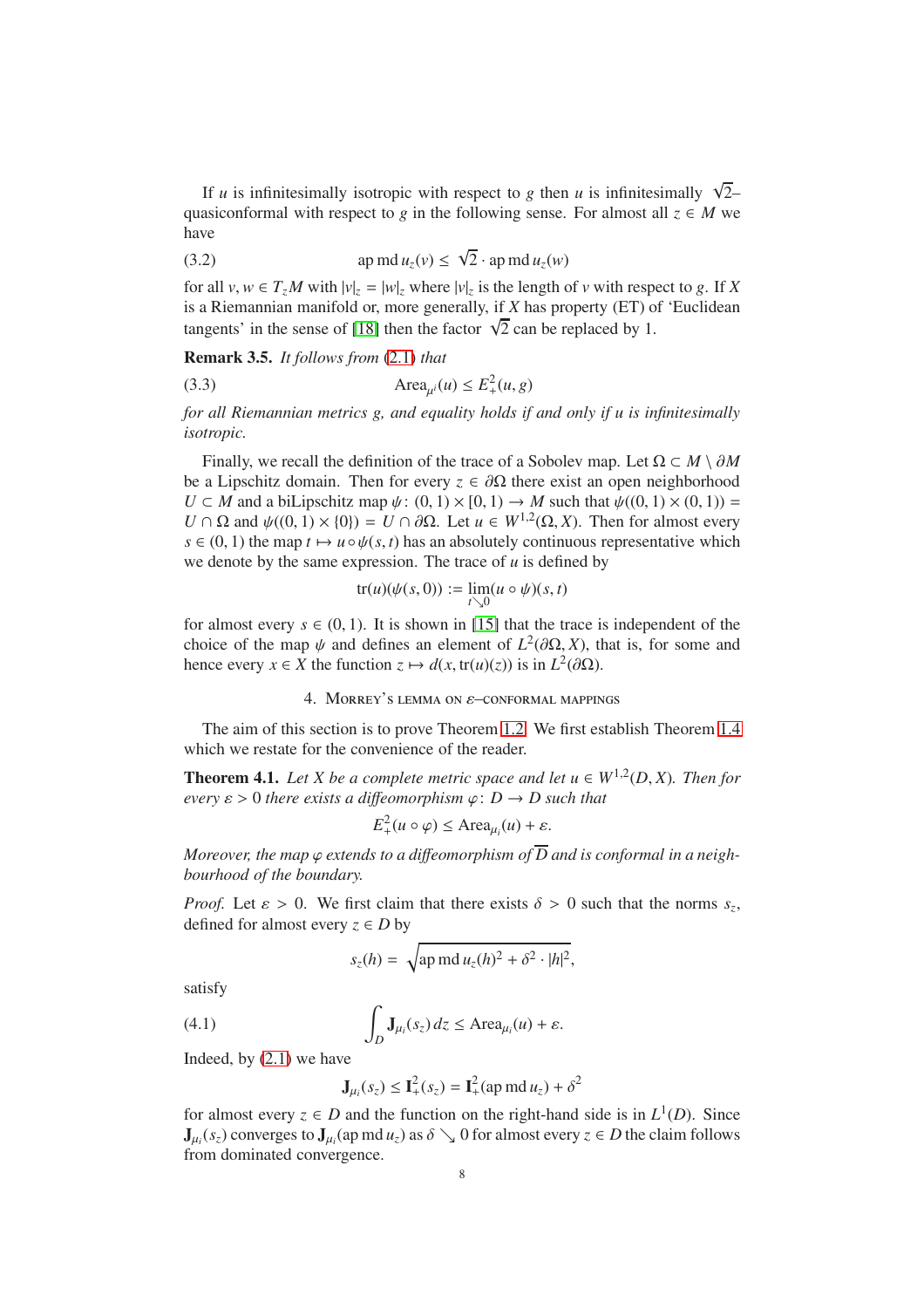If *u* is infinitesimally isotropic with respect to *g* then *u* is infinitesimally  $\sqrt{2}$ quasiconformal with respect to *g* in the following sense. For almost all  $z \in M$  we have

<span id="page-7-0"></span>(3.2) 
$$
\text{ap } \text{md} \, u_z(v) \leq \sqrt{2} \cdot \text{ap } \text{md} \, u_z(w)
$$

for all  $v, w \in T_zM$  with  $|v|_z = |w|_z$  where  $|v|_z$  is the length of  $v$  with respect to  $g$ . If  $X$ is a Riemannian manifold or, more generally, if *X* has property (ET) of 'Euclidean tangents' in the sense of [\[18\]](#page-13-7) then the factor  $\sqrt{2}$  can be replaced by 1.

<span id="page-7-4"></span>Remark 3.5. *It follows from* [\(2.1\)](#page-3-1) *that*

$$
(3.3) \qquad \text{Area}_{\mu^i}(u) \le E_+^2(u, g)
$$

*for all Riemannian metrics g, and equality holds if and only if u is infinitesimally isotropic.*

Finally, we recall the definition of the trace of a Sobolev map. Let  $\Omega \subset M \setminus \partial M$ be a Lipschitz domain. Then for every  $z \in \partial\Omega$  there exist an open neighborhood  $U \subset M$  and a biLipschitz map  $\psi: (0, 1) \times [0, 1) \to M$  such that  $\psi((0, 1) \times (0, 1)) =$  $U \cap \Omega$  and  $\psi((0, 1) \times \{0\}) = U \cap \partial \Omega$ . Let  $u \in W^{1,2}(\Omega, X)$ . Then for almost every  $s \in (0, 1)$  the map  $t \mapsto u \circ \psi(s, t)$  has an absolutely continuous representative which we denote by the same expression. The trace of  $u$  is defined by

<span id="page-7-3"></span>
$$
\operatorname{tr}(u)(\psi(s,0)) := \lim_{t \searrow 0} (u \circ \psi)(s,t)
$$

for almost every  $s \in (0, 1)$ . It is shown in [\[15\]](#page-13-11) that the trace is independent of the choice of the map  $\psi$  and defines an element of  $L^2(\partial\Omega, X)$ , that is, for some and hence every  $x \in X$  the function  $z \mapsto d(x, \text{tr}(u)(z))$  is in  $L^2(\partial \Omega)$ .

## 4. Morrey's lemma on ε–conformal mappings

The aim of this section is to prove Theorem [1.2.](#page-1-0) We first establish Theorem [1.4](#page-2-0) which we restate for the convenience of the reader.

<span id="page-7-2"></span>**Theorem 4.1.** Let *X* be a complete metric space and let  $u \in W^{1,2}(D, X)$ . Then for *every*  $\varepsilon > 0$  *there exists a diffeomorphism*  $\varphi$ :  $D \rightarrow D$  *such that* 

$$
E_+^2(u \circ \varphi) \leq \text{Area}_{\mu_i}(u) + \varepsilon.
$$

*Moreover, the map*  $\varphi$  *extends to a diffeomorphism of*  $\overline{D}$  *and is conformal in a neighbourhood of the boundary.*

*Proof.* Let  $\varepsilon > 0$ . We first claim that there exists  $\delta > 0$  such that the norms  $s_z$ , defined for almost every  $z \in D$  by

$$
s_z(h) = \sqrt{\text{ap md } u_z(h)^2 + \delta^2 \cdot |h|^2},
$$

satisfy

(4.1) 
$$
\int_{D} \mathbf{J}_{\mu_i}(s_z) dz \leq \text{Area}_{\mu_i}(u) + \varepsilon.
$$

Indeed, by [\(2.1\)](#page-3-1) we have

<span id="page-7-1"></span>
$$
\mathbf{J}_{\mu_i}(s_z) \le \mathbf{I}_+^2(s_z) = \mathbf{I}_+^2(\text{ap md}\,u_z) + \delta^2
$$

for almost every  $z \in D$  and the function on the right-hand side is in  $L^1(D)$ . Since  $J_{\mu_i}(s_z)$  converges to  $J_{\mu_i}$  (ap md  $u_z$ ) as  $\delta \searrow 0$  for almost every  $z \in D$  the claim follows from dominated convergence.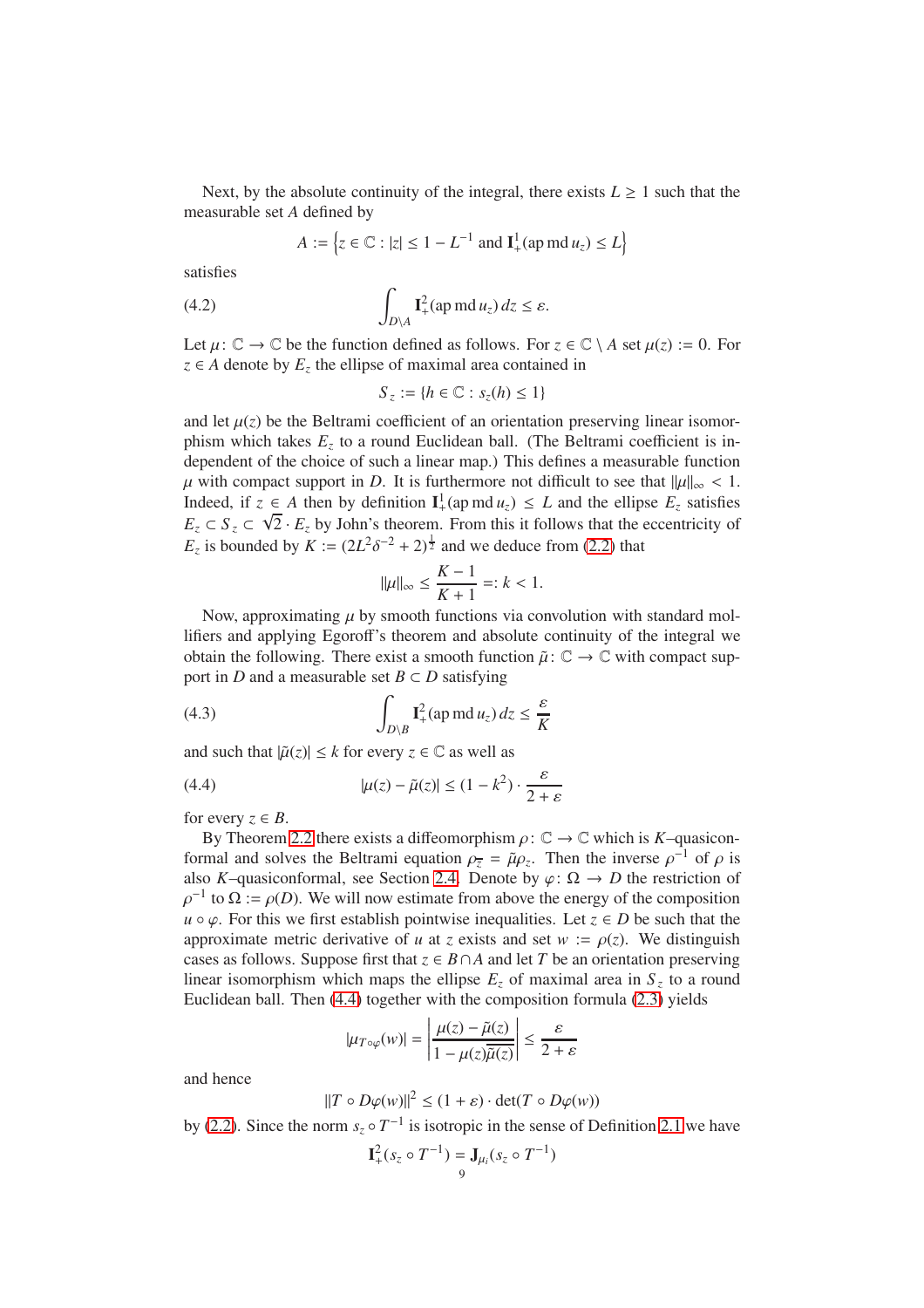Next, by the absolute continuity of the integral, there exists  $L \geq 1$  such that the measurable set *A* defined by

$$
A := \left\{ z \in \mathbb{C} : |z| \le 1 - L^{-1} \text{ and } \mathbf{I}_+^1(\text{ap } \text{md } u_z) \le L \right\}
$$

satisfies

(4.2) 
$$
\int_{D \setminus A} \mathbf{I}_+^2(\text{ap } \text{md } u_z) dz \leq \varepsilon.
$$

Let  $\mu: \mathbb{C} \to \mathbb{C}$  be the function defined as follows. For  $z \in \mathbb{C} \setminus A$  set  $\mu(z) := 0$ . For *z* ∈ *A* denote by  $E_z$  the ellipse of maximal area contained in

<span id="page-8-1"></span>
$$
S_z := \{ h \in \mathbb{C} : s_z(h) \leq 1 \}
$$

and let  $\mu(z)$  be the Beltrami coefficient of an orientation preserving linear isomorphism which takes  $E_z$  to a round Euclidean ball. (The Beltrami coefficient is independent of the choice of such a linear map.) This defines a measurable function  $\mu$  with compact support in *D*. It is furthermore not difficult to see that  $\|\mu\|_{\infty}$  < 1. Indeed, if  $z \in A$  then by definition  $I^1_+(ap \text{ md } u_z) \leq L$  and the ellipse  $E_z$  satisfies  $E_z \subset S_z \subset \sqrt{2} \cdot E_z$  by John's theorem. From this it follows that the eccentricity of *E*<sub>*z*</sub> is bounded by *K* :=  $(2L^2 \delta^{-2} + 2)^{\frac{1}{2}}$  and we deduce from [\(2.2\)](#page-4-0) that

<span id="page-8-2"></span>
$$
\|\mu\|_{\infty} \le \frac{K-1}{K+1} =: k < 1.
$$

Now, approximating  $\mu$  by smooth functions via convolution with standard mollifiers and applying Egoroff's theorem and absolute continuity of the integral we obtain the following. There exist a smooth function  $\tilde{\mu}$ :  $\mathbb{C} \to \mathbb{C}$  with compact support in *D* and a measurable set  $B \subset D$  satisfying

(4.3) 
$$
\int_{D\setminus B} \mathbf{I}_+^2(\text{ap md }u_z) dz \leq \frac{\varepsilon}{K}
$$

and such that  $|\tilde{\mu}(z)| \leq k$  for every  $z \in \mathbb{C}$  as well as

<span id="page-8-0"></span>(4.4) 
$$
|\mu(z) - \tilde{\mu}(z)| \leq (1 - k^2) \cdot \frac{\varepsilon}{2 + \varepsilon}
$$

for every  $z \in B$ .

By Theorem [2.2](#page-5-1) there exists a diffeomorphism  $\rho: \mathbb{C} \to \mathbb{C}$  which is *K*–quasiconformal and solves the Beltrami equation  $\rho_{\overline{z}} = \tilde{\mu} \rho_z$ . Then the inverse  $\rho^{-1}$  of  $\rho$  is also *K*–quasiconformal, see Section [2.4.](#page-4-2) Denote by  $\varphi : \Omega \to D$  the restriction of  $\rho^{-1}$  to  $\Omega := \rho(D)$ . We will now estimate from above the energy of the composition  $u \circ \varphi$ . For this we first establish pointwise inequalities. Let  $z \in D$  be such that the approximate metric derivative of *u* at *z* exists and set  $w := \rho(z)$ . We distinguish cases as follows. Suppose first that  $z \in B \cap A$  and let *T* be an orientation preserving linear isomorphism which maps the ellipse  $E_z$  of maximal area in  $S_z$  to a round Euclidean ball. Then [\(4.4\)](#page-8-0) together with the composition formula [\(2.3\)](#page-5-2) yields

$$
|\mu_{T \circ \varphi}(w)| = \left| \frac{\mu(z) - \tilde{\mu}(z)}{1 - \mu(z)\overline{\tilde{\mu}(z)}} \right| \le \frac{\varepsilon}{2 + \varepsilon}
$$

and hence

$$
||T \circ D\varphi(w)||^2 \le (1+\varepsilon) \cdot \det(T \circ D\varphi(w))
$$

by [\(2.2\)](#page-4-0). Since the norm  $s_z \circ T^{-1}$  is isotropic in the sense of Definition [2.1](#page-3-2) we have

$$
\mathbf{I}_{+}^{2}(s_{z} \circ T^{-1}) = \mathbf{J}_{\mu_{i}}(s_{z} \circ T^{-1})
$$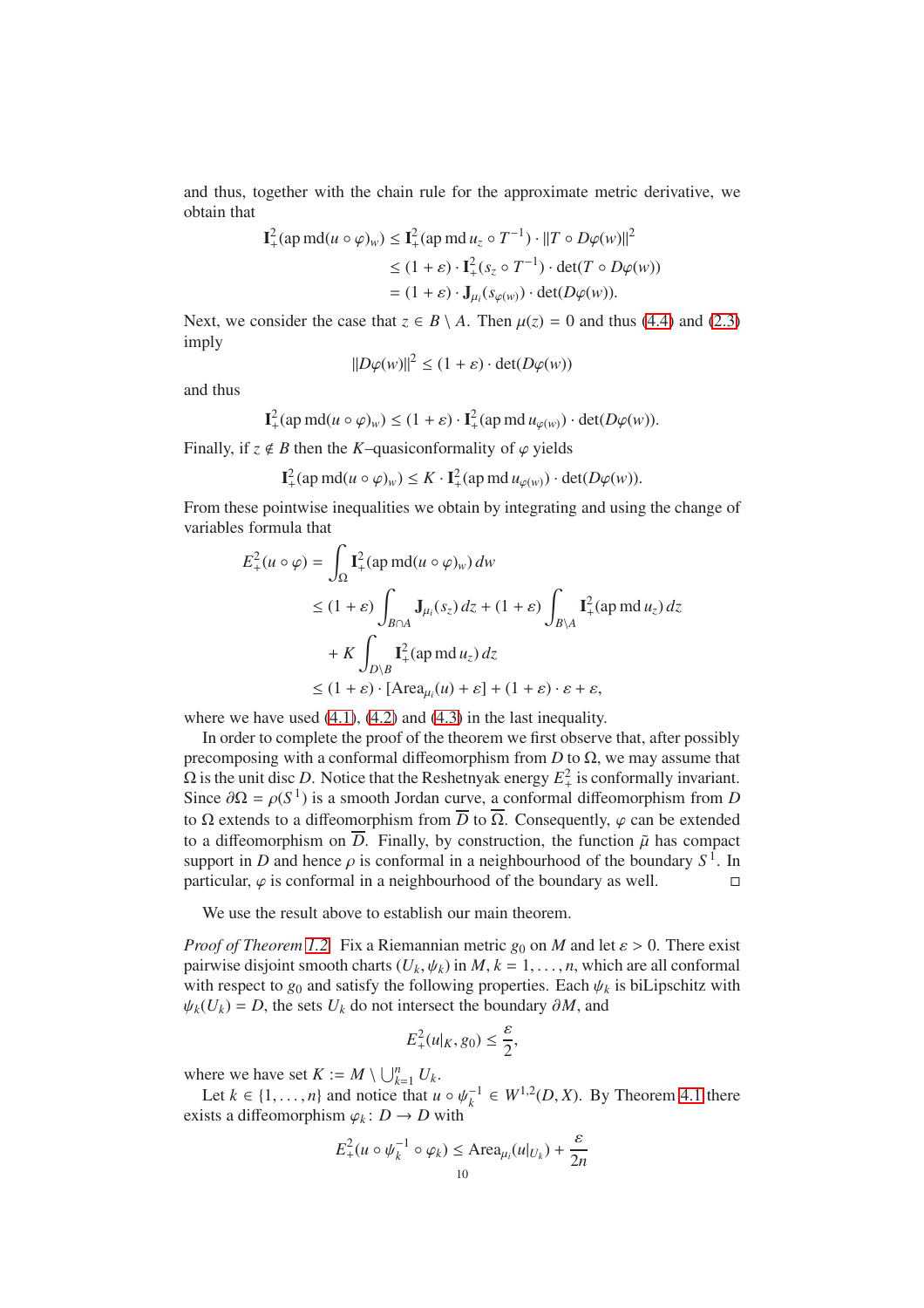and thus, together with the chain rule for the approximate metric derivative, we obtain that

$$
\mathbf{I}_{+}^{2}(\text{ap md}(u \circ \varphi)_{w}) \leq \mathbf{I}_{+}^{2}(\text{ap md } u_{z} \circ T^{-1}) \cdot ||T \circ D\varphi(w)||^{2}
$$
  
\n
$$
\leq (1 + \varepsilon) \cdot \mathbf{I}_{+}^{2}(s_{z} \circ T^{-1}) \cdot \det(T \circ D\varphi(w))
$$
  
\n
$$
= (1 + \varepsilon) \cdot \mathbf{J}_{\mu_{i}}(s_{\varphi(w)}) \cdot \det(D\varphi(w)).
$$

Next, we consider the case that  $z \in B \setminus A$ . Then  $\mu(z) = 0$  and thus [\(4.4\)](#page-8-0) and [\(2.3\)](#page-5-2) imply

$$
||D\varphi(w)||^2 \le (1+\varepsilon) \cdot \det(D\varphi(w))
$$

and thus

$$
\mathbf{I}^2_+(\text{ap md}(u \circ \varphi)_w) \le (1+\varepsilon) \cdot \mathbf{I}^2_+(\text{ap md }u_{\varphi(w)}) \cdot \det(D\varphi(w)).
$$

Finally, if  $z \notin B$  then the *K*–quasiconformality of  $\varphi$  yields

$$
\mathbf{I}_{+}^{2}(\operatorname{ap} m\mathbf{d}(u \circ \varphi)_{w}) \leq K \cdot \mathbf{I}_{+}^{2}(\operatorname{ap} m\mathbf{d} u_{\varphi(w)}) \cdot \det(D\varphi(w)).
$$

From these pointwise inequalities we obtain by integrating and using the change of variables formula that

$$
E_{+}^{2}(u \circ \varphi) = \int_{\Omega} \mathbf{I}_{+}^{2}(\text{ap md}(u \circ \varphi)_{w}) dw
$$
  
\n
$$
\leq (1 + \varepsilon) \int_{B \cap A} \mathbf{J}_{\mu_{i}}(s_{z}) dz + (1 + \varepsilon) \int_{B \setminus A} \mathbf{I}_{+}^{2}(\text{ap md } u_{z}) dz
$$
  
\n
$$
+ K \int_{D \setminus B} \mathbf{I}_{+}^{2}(\text{ap md } u_{z}) dz
$$
  
\n
$$
\leq (1 + \varepsilon) \cdot [\text{Area}_{\mu_{i}}(u) + \varepsilon] + (1 + \varepsilon) \cdot \varepsilon + \varepsilon,
$$

where we have used  $(4.1)$ ,  $(4.2)$  and  $(4.3)$  in the last inequality.

In order to complete the proof of the theorem we first observe that, after possibly precomposing with a conformal diffeomorphism from  $D$  to  $\Omega$ , we may assume that  $\Omega$  is the unit disc *D*. Notice that the Reshetnyak energy  $E^2_+$  is conformally invariant. Since  $\partial \Omega = \rho(S^1)$  is a smooth Jordan curve, a conformal diffeomorphism from *D* to  $\Omega$  extends to a diffeomorphism from  $\overline{D}$  to  $\overline{\Omega}$ . Consequently,  $\varphi$  can be extended to a diffeomorphism on  $\overline{D}$ . Finally, by construction, the function  $\tilde{\mu}$  has compact support in *D* and hence  $\rho$  is conformal in a neighbourhood of the boundary  $S^1$ . In particular,  $\varphi$  is conformal in a neighbourhood of the boundary as well.

We use the result above to establish our main theorem.

*Proof of Theorem [1.2.](#page-1-0)* Fix a Riemannian metric  $g_0$  on *M* and let  $\varepsilon > 0$ . There exist pairwise disjoint smooth charts  $(U_k, \psi_k)$  in  $M, k = 1, \ldots, n$ , which are all conformal with respect to  $g_0$  and satisfy the following properties. Each  $\psi_k$  is biLipschitz with  $ψ<sub>k</sub>(U<sub>k</sub>) = D$ , the sets  $U<sub>k</sub>$  do not intersect the boundary  $\partial M$ , and

$$
E_+^2(u|_K, g_0) \le \frac{\varepsilon}{2},
$$

where we have set  $K := M \setminus \bigcup_{k=1}^{n} U_k$ .

Let  $k \in \{1, \ldots, n\}$  and notice that  $u \circ \psi_k^{-1} \in W^{1,2}(D, X)$ . By Theorem [4.1](#page-7-2) there exists a diffeomorphism  $\varphi_k : D \to D$  with

$$
E_{+}^{2}(u \circ \psi_{k}^{-1} \circ \varphi_{k}) \leq \text{Area}_{\mu_{i}}(u|_{U_{k}}) + \frac{\varepsilon}{2n}
$$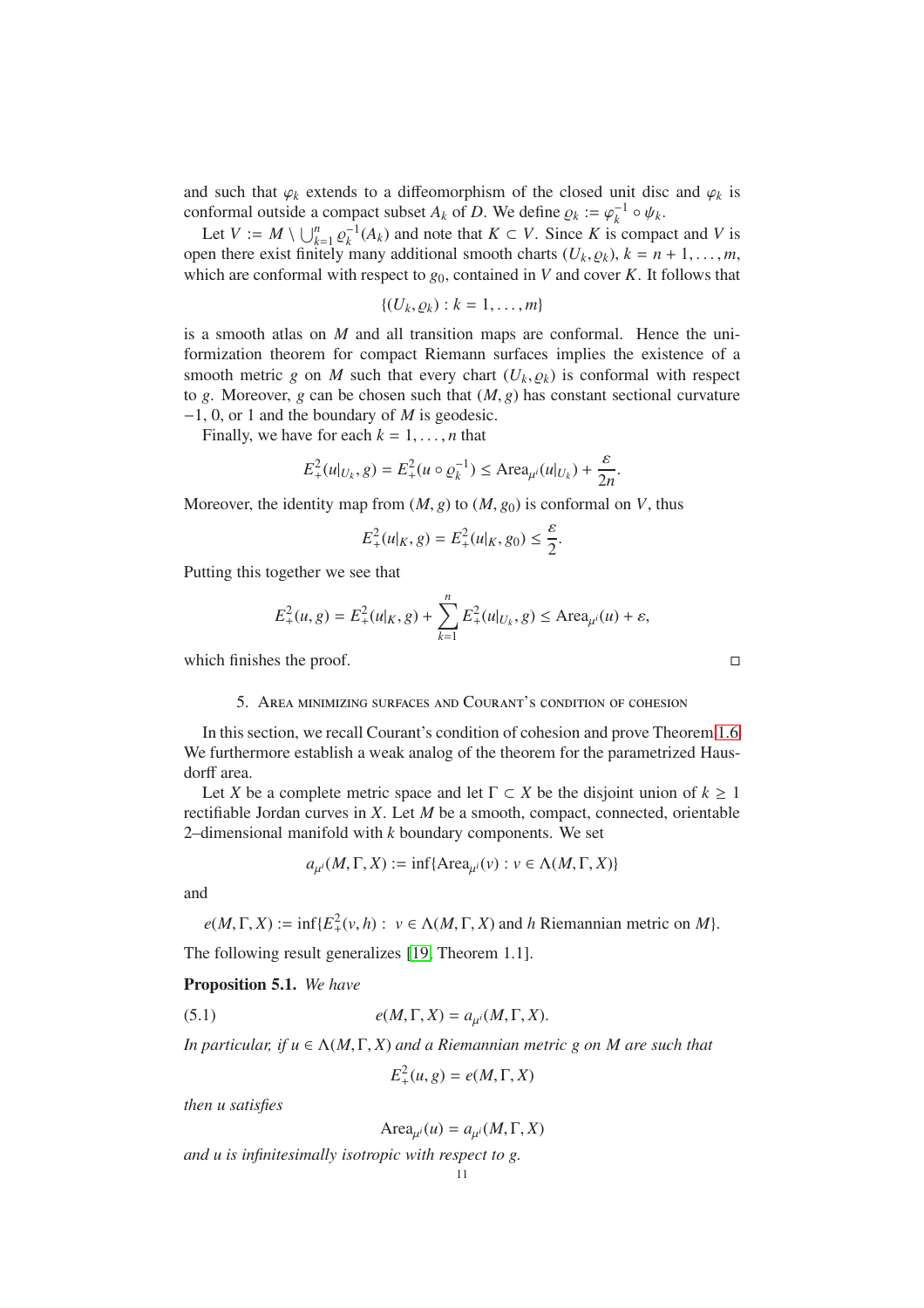and such that  $\varphi_k$  extends to a diffeomorphism of the closed unit disc and  $\varphi_k$  is conformal outside a compact subset  $A_k$  of  $D$ . We define  $\rho_k := \varphi_k^{-1} \circ \psi_k$ .

Let  $V := M \setminus \bigcup_{k=1}^{n} \varrho_k^{-1}(A_k)$  and note that  $K \subset V$ . Since *K* is compact and *V* is open there exist finitely many additional smooth charts  $(U_k, Q_k)$ ,  $k = n + 1, \ldots, m$ , which are conformal with respect to  $g_0$ , contained in *V* and cover *K*. It follows that

$$
\{(U_k,\varrho_k):k=1,\ldots,m\}
$$

is a smooth atlas on *M* and all transition maps are conformal. Hence the uniformization theorem for compact Riemann surfaces implies the existence of a smooth metric *g* on *M* such that every chart  $(U_k, \varrho_k)$  is conformal with respect to *g*. Moreover, *g* can be chosen such that  $(M, g)$  has constant sectional curvature −1, 0, or 1 and the boundary of *M* is geodesic.

Finally, we have for each  $k = 1, \ldots, n$  that

$$
E_{+}^{2}(u|_{U_{k}}, g) = E_{+}^{2}(u \circ \varrho_{k}^{-1}) \leq \text{Area}_{\mu^{i}}(u|_{U_{k}}) + \frac{\varepsilon}{2n}.
$$

Moreover, the identity map from  $(M, g)$  to  $(M, g_0)$  is conformal on *V*, thus

$$
E_{+}^{2}(u|_{K}, g) = E_{+}^{2}(u|_{K}, g_{0}) \leq \frac{\varepsilon}{2}.
$$

Putting this together we see that

$$
E_{+}^{2}(u, g) = E_{+}^{2}(u|_{K}, g) + \sum_{k=1}^{n} E_{+}^{2}(u|_{U_{k}}, g) \leq \text{Area}_{\mu^{i}}(u) + \varepsilon,
$$

<span id="page-10-0"></span>which finishes the proof.  $\Box$ 

#### 5. Area minimizing surfaces and Courant's condition of cohesion

In this section, we recall Courant's condition of cohesion and prove Theorem [1.6.](#page-2-1) We furthermore establish a weak analog of the theorem for the parametrized Hausdorff area.

Let *X* be a complete metric space and let  $\Gamma \subset X$  be the disjoint union of  $k \geq 1$ rectifiable Jordan curves in *X*. Let *M* be a smooth, compact, connected, orientable 2–dimensional manifold with *k* boundary components. We set

$$
a_{\mu^i}(M, \Gamma, X) := \inf\{\text{Area}_{\mu^i}(v) : v \in \Lambda(M, \Gamma, X)\}
$$

and

 $e(M, \Gamma, X) := \inf \{ E^2_+(v, h) : v \in \Lambda(M, \Gamma, X) \text{ and } h \text{ Riemannian metric on } M \}.$ 

The following result generalizes [\[19,](#page-13-6) Theorem 1.1].

<span id="page-10-2"></span>Proposition 5.1. *We have*

(5.1) 
$$
e(M, \Gamma, X) = a_{\mu^i}(M, \Gamma, X).
$$

*In particular, if u* <sup>∈</sup> <sup>Λ</sup>(*M*, <sup>Γ</sup>, *<sup>X</sup>*) *and a Riemannian metric g on M are such that*

<span id="page-10-1"></span> $E_+^2(u, g) = e(M, \Gamma, X)$ 

*then u satisfies*

$$
\text{Area}_{\mu^i}(u) = a_{\mu^i}(M, \Gamma, X)
$$

*and u is infinitesimally isotropic with respect to g.*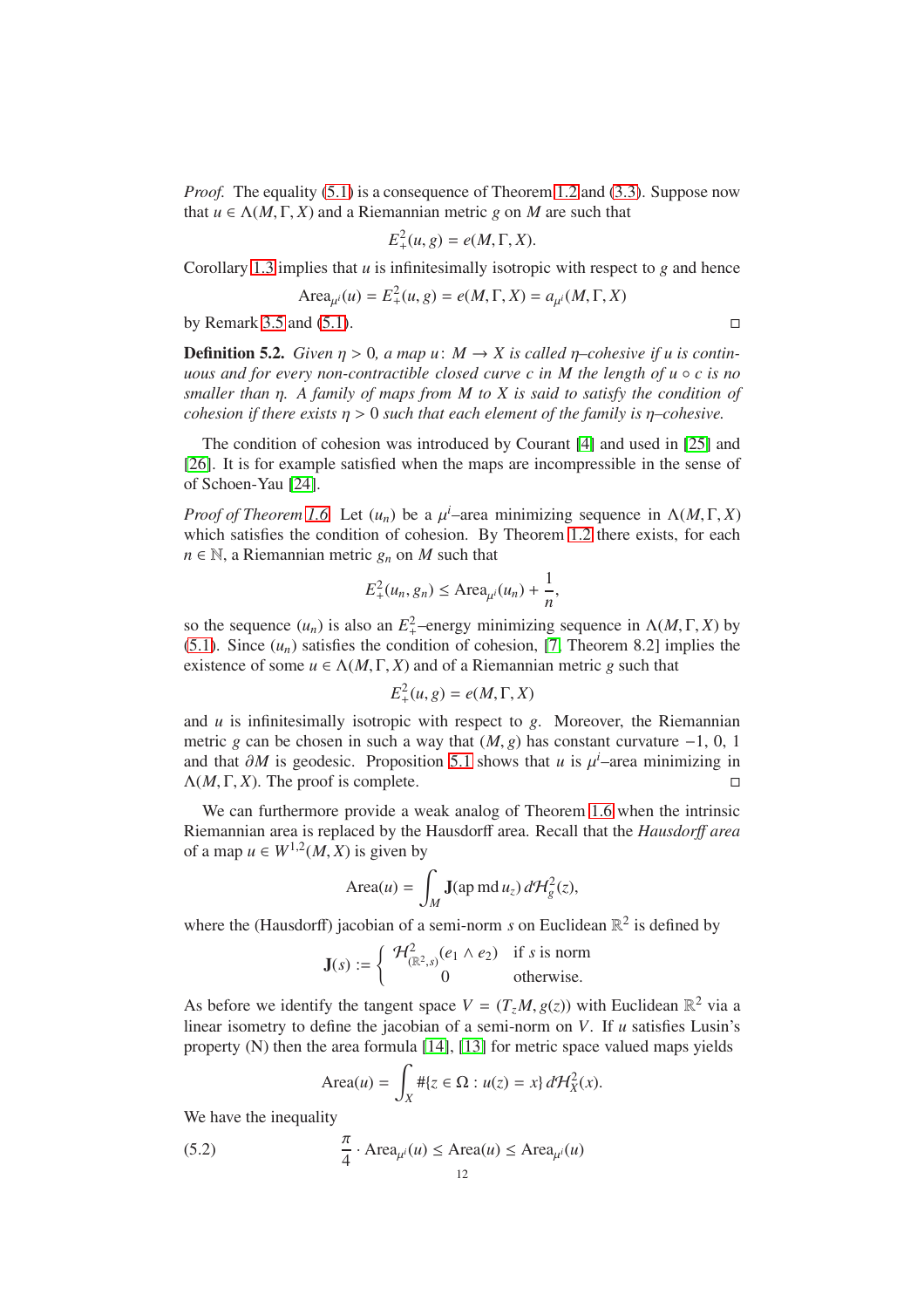*Proof.* The equality [\(5.1\)](#page-10-1) is a consequence of Theorem [1.2](#page-1-0) and [\(3.3\)](#page-7-3). Suppose now that  $u \in \Lambda(M, \Gamma, X)$  and a Riemannian metric *g* on *M* are such that

$$
E_+^2(u, g) = e(M, \Gamma, X).
$$

Corollary [1.3](#page-1-2) implies that *u* is infinitesimally isotropic with respect to *g* and hence

Area<sub>$$
\mu^i
$$</sub>(*u*) =  $E^2_+(\mu, g) = e(M, \Gamma, X) = a_{\mu^i}(M, \Gamma, X)$ 

by Remark [3.5](#page-7-4) and [\(5.1\)](#page-10-1).

**Definition 5.2.** *Given*  $\eta > 0$ , *a map u*:  $M \to X$  *is called*  $\eta$ -cohesive *if u is continuous and for every non-contractible closed curve c in M the length of u* ◦ *c is no smaller than* η*. A family of maps from M to X is said to satisfy the condition of cohesion if there exists*  $\eta > 0$  *such that each element of the family is*  $\eta$ -cohesive.

The condition of cohesion was introduced by Courant [\[4\]](#page-12-3) and used in [\[25\]](#page-13-9) and [\[26\]](#page-13-10). It is for example satisfied when the maps are incompressible in the sense of of Schoen-Yau [\[24\]](#page-13-13).

*Proof of Theorem [1.6.](#page-2-1)* Let  $(u_n)$  be a  $\mu^i$ –area minimizing sequence in  $\Lambda(M, \Gamma, X)$ which satisfies the condition of cohesion. By Theorem [1.2](#page-1-0) there exists, for each  $n \in \mathbb{N}$ , a Riemannian metric  $g_n$  on *M* such that

$$
E_+^2(u_n, g_n) \leq \text{Area}_{\mu^i}(u_n) + \frac{1}{n},
$$

so the sequence  $(u_n)$  is also an  $E_+^2$ -energy minimizing sequence in  $\Lambda(M, \Gamma, X)$  by [\(5.1\)](#page-10-1). Since  $(u_n)$  satisfies the condition of cohesion, [\[7,](#page-12-1) Theorem 8.2] implies the existence of some  $u \in \Lambda(M, \Gamma, X)$  and of a Riemannian metric *g* such that

$$
E_+^2(u, g) = e(M, \Gamma, X)
$$

and *u* is infinitesimally isotropic with respect to *g*. Moreover, the Riemannian metric *g* can be chosen in such a way that  $(M, g)$  has constant curvature  $-1, 0, 1$ and that  $\partial M$  is geodesic. Proposition [5.1](#page-10-2) shows that *u* is  $\mu^i$ –area minimizing in  $Λ$ (*M*, Γ, *X*). The proof is complete.

We can furthermore provide a weak analog of Theorem [1.6](#page-2-1) when the intrinsic Riemannian area is replaced by the Hausdorff area. Recall that the *Hausdor*ff *area* of a map  $u \in W^{1,2}(M,X)$  is given by

Area(u) = 
$$
\int_M \mathbf{J}(\text{ap md } u_z) d\mathcal{H}_g^2(z),
$$

where the (Hausdorff) jacobian of a semi-norm *s* on Euclidean  $\mathbb{R}^2$  is defined by

$$
\mathbf{J}(s) := \begin{cases} \mathcal{H}^2_{(\mathbb{R}^2,s)}(e_1 \wedge e_2) & \text{if } s \text{ is norm} \\ 0 & \text{otherwise.} \end{cases}
$$

As before we identify the tangent space  $V = (T_z M, g(z))$  with Euclidean  $\mathbb{R}^2$  via a linear isometry to define the jacobian of a semi-norm on *V*. If *u* satisfies Lusin's property  $(N)$  then the area formula [\[14\]](#page-13-14), [\[13\]](#page-13-15) for metric space valued maps yields

<span id="page-11-0"></span>
$$
\text{Area}(u) = \int_X \# \{ z \in \Omega : u(z) = x \} d\mathcal{H}_X^2(x).
$$

We have the inequality

(5.2) 
$$
\frac{\pi}{4} \cdot \text{Area}_{\mu^i}(u) \le \text{Area}(u) \le \text{Area}_{\mu^i}(u)
$$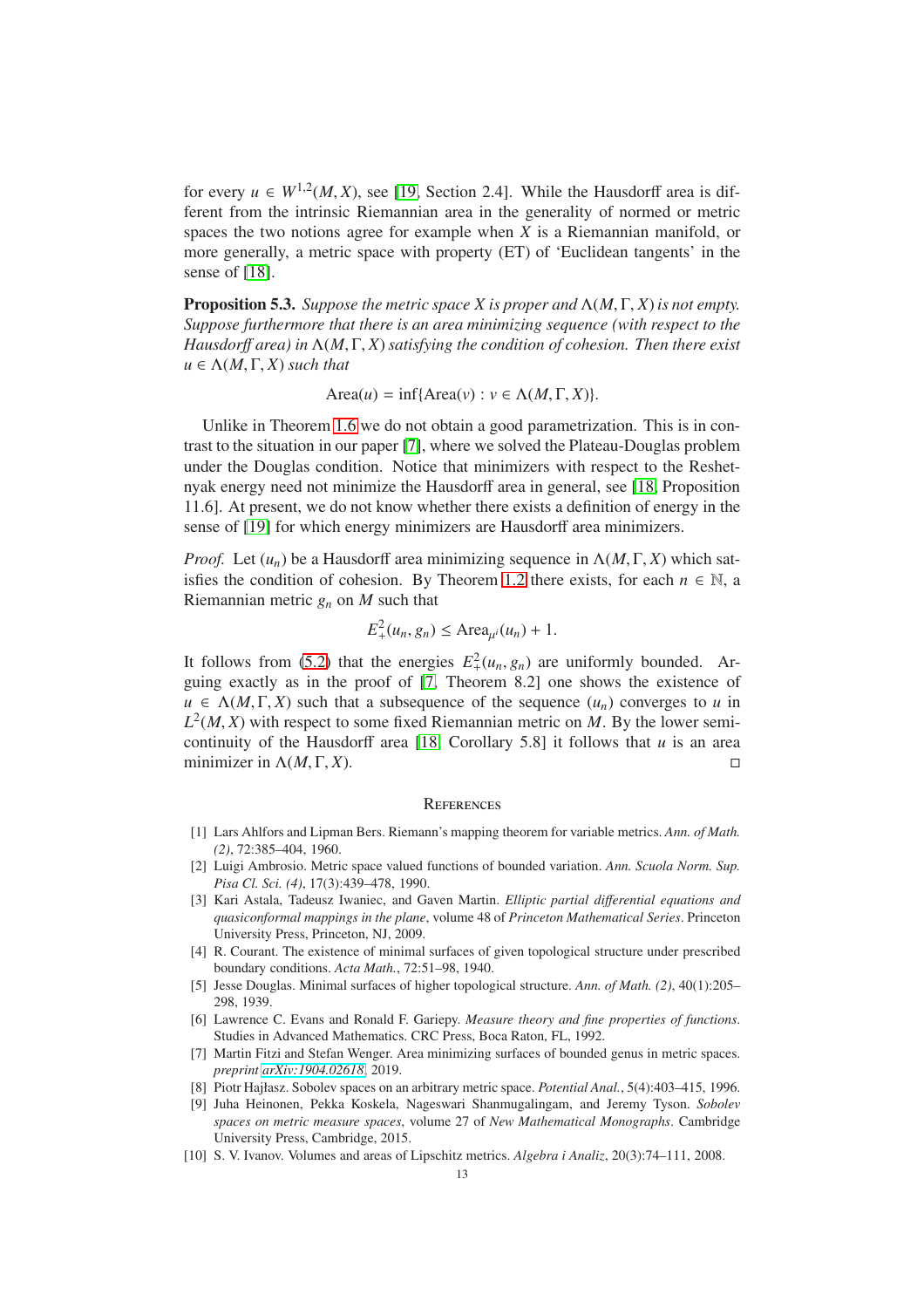for every  $u \in W^{1,2}(M,X)$ , see [\[19,](#page-13-6) Section 2.4]. While the Hausdorff area is different from the intrinsic Riemannian area in the generality of normed or metric spaces the two notions agree for example when *X* is a Riemannian manifold, or more generally, a metric space with property (ET) of 'Euclidean tangents' in the sense of [\[18\]](#page-13-7).

Proposition 5.3. *Suppose the metric space X is proper and* Λ(*M*, Γ, *X*) *is not empty. Suppose furthermore that there is an area minimizing sequence (with respect to the Hausdor*ff *area) in* Λ(*M*, Γ, *X*)*satisfying the condition of cohesion. Then there exist*  $u \in \Lambda(M, \Gamma, X)$  *such that* 

 $Area(u) = inf{Area(v) : v \in \Lambda(M, \Gamma, X)}.$ 

Unlike in Theorem [1.6](#page-2-1) we do not obtain a good parametrization. This is in contrast to the situation in our paper [\[7\]](#page-12-1), where we solved the Plateau-Douglas problem under the Douglas condition. Notice that minimizers with respect to the Reshetnyak energy need not minimize the Hausdorff area in general, see [\[18,](#page-13-7) Proposition 11.6]. At present, we do not know whether there exists a definition of energy in the sense of [\[19\]](#page-13-6) for which energy minimizers are Hausdorff area minimizers.

*Proof.* Let  $(u_n)$  be a Hausdorff area minimizing sequence in  $\Lambda(M, \Gamma, X)$  which sat-isfies the condition of cohesion. By Theorem [1.2](#page-1-0) there exists, for each  $n \in \mathbb{N}$ , a Riemannian metric  $g_n$  on *M* such that

$$
E_+^2(u_n, g_n) \leq \text{Area}_{\mu^i}(u_n) + 1.
$$

It follows from [\(5.2\)](#page-11-0) that the energies  $E_+^2(u_n, g_n)$  are uniformly bounded. Arguing exactly as in the proof of [\[7,](#page-12-1) Theorem 8.2] one shows the existence of  $u \in \Lambda(M, \Gamma, X)$  such that a subsequence of the sequence  $(u_n)$  converges to *u* in  $L^2(M, X)$  with respect to some fixed Riemannian metric on M. By the lower semicontinuity of the Hausdorff area [\[18,](#page-13-7) Corollary 5.8] it follows that *u* is an area minimizer in  $\Lambda(M,\Gamma,X)$ .

#### **REFERENCES**

- <span id="page-12-5"></span>[1] Lars Ahlfors and Lipman Bers. Riemann's mapping theorem for variable metrics. *Ann. of Math. (2)*, 72:385–404, 1960.
- <span id="page-12-7"></span>[2] Luigi Ambrosio. Metric space valued functions of bounded variation. *Ann. Scuola Norm. Sup. Pisa Cl. Sci. (4)*, 17(3):439–478, 1990.
- <span id="page-12-6"></span>[3] Kari Astala, Tadeusz Iwaniec, and Gaven Martin. *Elliptic partial di*ff*erential equations and quasiconformal mappings in the plane*, volume 48 of *Princeton Mathematical Series*. Princeton University Press, Princeton, NJ, 2009.
- <span id="page-12-3"></span>[4] R. Courant. The existence of minimal surfaces of given topological structure under prescribed boundary conditions. *Acta Math.*, 72:51–98, 1940.
- <span id="page-12-2"></span>[5] Jesse Douglas. Minimal surfaces of higher topological structure. *Ann. of Math. (2)*, 40(1):205– 298, 1939.
- <span id="page-12-4"></span>[6] Lawrence C. Evans and Ronald F. Gariepy. *Measure theory and fine properties of functions*. Studies in Advanced Mathematics. CRC Press, Boca Raton, FL, 1992.
- <span id="page-12-1"></span>[7] Martin Fitzi and Stefan Wenger. Area minimizing surfaces of bounded genus in metric spaces. *preprint [arXiv:1904.02618](http://arxiv.org/abs/1904.02618)*, 2019.
- <span id="page-12-9"></span><span id="page-12-8"></span>[8] Piotr Hajłasz. Sobolev spaces on an arbitrary metric space. *Potential Anal.*, 5(4):403–415, 1996.
- [9] Juha Heinonen, Pekka Koskela, Nageswari Shanmugalingam, and Jeremy Tyson. *Sobolev spaces on metric measure spaces*, volume 27 of *New Mathematical Monographs*. Cambridge University Press, Cambridge, 2015.
- <span id="page-12-0"></span>[10] S. V. Ivanov. Volumes and areas of Lipschitz metrics. *Algebra i Analiz*, 20(3):74–111, 2008.